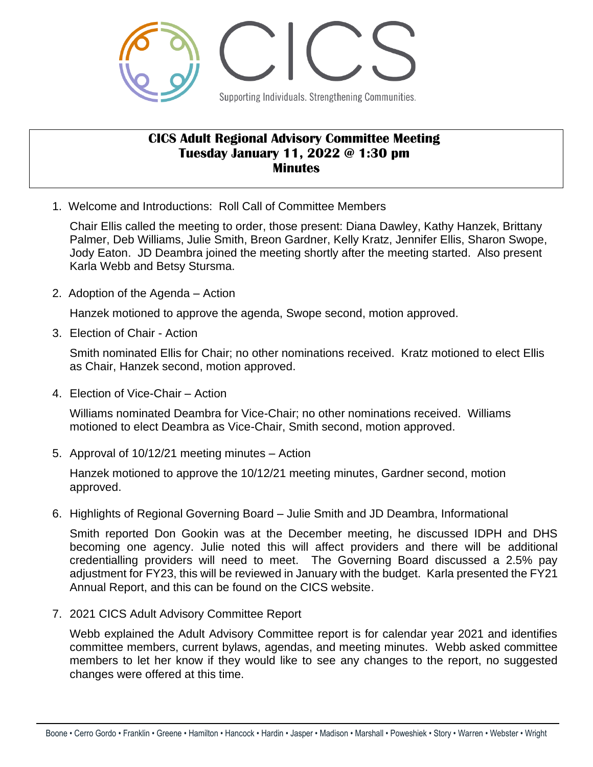

## **CICS Adult Regional Advisory Committee Meeting Tuesday January 11, 2022 @ 1:30 pm Minutes**

1. Welcome and Introductions: Roll Call of Committee Members

Chair Ellis called the meeting to order, those present: Diana Dawley, Kathy Hanzek, Brittany Palmer, Deb Williams, Julie Smith, Breon Gardner, Kelly Kratz, Jennifer Ellis, Sharon Swope, Jody Eaton. JD Deambra joined the meeting shortly after the meeting started. Also present Karla Webb and Betsy Stursma.

2. Adoption of the Agenda – Action

Hanzek motioned to approve the agenda, Swope second, motion approved.

3. Election of Chair - Action

Smith nominated Ellis for Chair; no other nominations received. Kratz motioned to elect Ellis as Chair, Hanzek second, motion approved.

4. Election of Vice-Chair – Action

Williams nominated Deambra for Vice-Chair; no other nominations received. Williams motioned to elect Deambra as Vice-Chair, Smith second, motion approved.

5. Approval of 10/12/21 meeting minutes – Action

Hanzek motioned to approve the 10/12/21 meeting minutes, Gardner second, motion approved.

6. Highlights of Regional Governing Board – Julie Smith and JD Deambra, Informational

Smith reported Don Gookin was at the December meeting, he discussed IDPH and DHS becoming one agency. Julie noted this will affect providers and there will be additional credentialling providers will need to meet. The Governing Board discussed a 2.5% pay adjustment for FY23, this will be reviewed in January with the budget. Karla presented the FY21 Annual Report, and this can be found on the CICS website.

7. 2021 CICS Adult Advisory Committee Report

Webb explained the Adult Advisory Committee report is for calendar year 2021 and identifies committee members, current bylaws, agendas, and meeting minutes. Webb asked committee members to let her know if they would like to see any changes to the report, no suggested changes were offered at this time.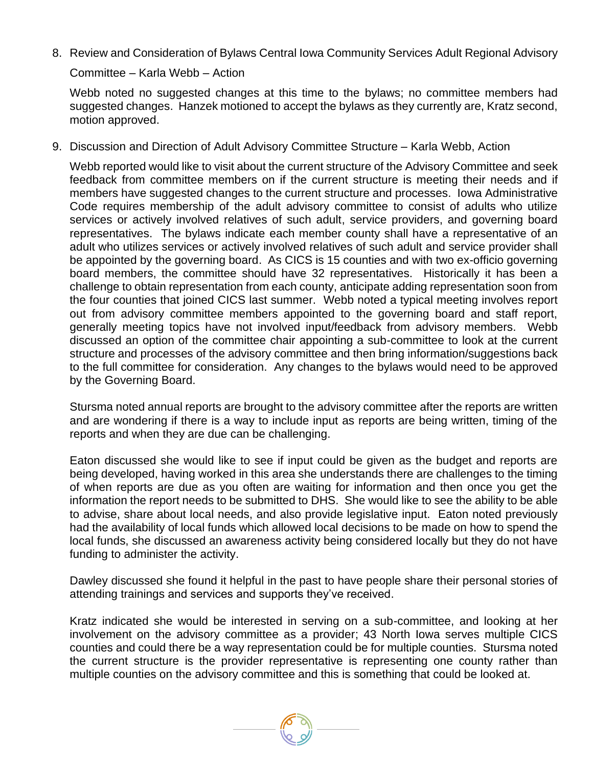8. Review and Consideration of Bylaws Central Iowa Community Services Adult Regional Advisory

Committee – Karla Webb – Action

Webb noted no suggested changes at this time to the bylaws; no committee members had suggested changes. Hanzek motioned to accept the bylaws as they currently are, Kratz second, motion approved.

9. Discussion and Direction of Adult Advisory Committee Structure – Karla Webb, Action

Webb reported would like to visit about the current structure of the Advisory Committee and seek feedback from committee members on if the current structure is meeting their needs and if members have suggested changes to the current structure and processes. Iowa Administrative Code requires membership of the adult advisory committee to consist of adults who utilize services or actively involved relatives of such adult, service providers, and governing board representatives. The bylaws indicate each member county shall have a representative of an adult who utilizes services or actively involved relatives of such adult and service provider shall be appointed by the governing board. As CICS is 15 counties and with two ex-officio governing board members, the committee should have 32 representatives. Historically it has been a challenge to obtain representation from each county, anticipate adding representation soon from the four counties that joined CICS last summer. Webb noted a typical meeting involves report out from advisory committee members appointed to the governing board and staff report, generally meeting topics have not involved input/feedback from advisory members. Webb discussed an option of the committee chair appointing a sub-committee to look at the current structure and processes of the advisory committee and then bring information/suggestions back to the full committee for consideration. Any changes to the bylaws would need to be approved by the Governing Board.

Stursma noted annual reports are brought to the advisory committee after the reports are written and are wondering if there is a way to include input as reports are being written, timing of the reports and when they are due can be challenging.

Eaton discussed she would like to see if input could be given as the budget and reports are being developed, having worked in this area she understands there are challenges to the timing of when reports are due as you often are waiting for information and then once you get the information the report needs to be submitted to DHS. She would like to see the ability to be able to advise, share about local needs, and also provide legislative input. Eaton noted previously had the availability of local funds which allowed local decisions to be made on how to spend the local funds, she discussed an awareness activity being considered locally but they do not have funding to administer the activity.

Dawley discussed she found it helpful in the past to have people share their personal stories of attending trainings and services and supports they've received.

Kratz indicated she would be interested in serving on a sub-committee, and looking at her involvement on the advisory committee as a provider; 43 North Iowa serves multiple CICS counties and could there be a way representation could be for multiple counties. Stursma noted the current structure is the provider representative is representing one county rather than multiple counties on the advisory committee and this is something that could be looked at.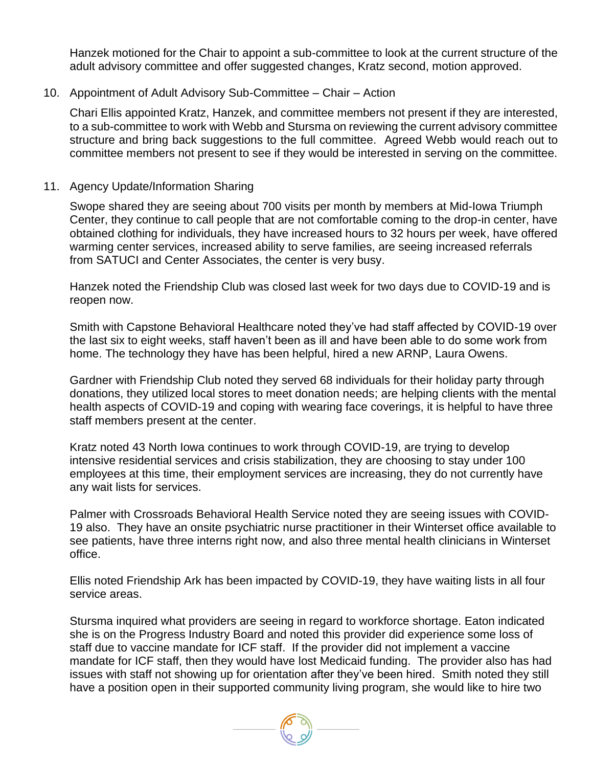Hanzek motioned for the Chair to appoint a sub-committee to look at the current structure of the adult advisory committee and offer suggested changes, Kratz second, motion approved.

## 10. Appointment of Adult Advisory Sub-Committee – Chair – Action

Chari Ellis appointed Kratz, Hanzek, and committee members not present if they are interested, to a sub-committee to work with Webb and Stursma on reviewing the current advisory committee structure and bring back suggestions to the full committee. Agreed Webb would reach out to committee members not present to see if they would be interested in serving on the committee.

## 11. Agency Update/Information Sharing

Swope shared they are seeing about 700 visits per month by members at Mid-Iowa Triumph Center, they continue to call people that are not comfortable coming to the drop-in center, have obtained clothing for individuals, they have increased hours to 32 hours per week, have offered warming center services, increased ability to serve families, are seeing increased referrals from SATUCI and Center Associates, the center is very busy.

Hanzek noted the Friendship Club was closed last week for two days due to COVID-19 and is reopen now.

Smith with Capstone Behavioral Healthcare noted they've had staff affected by COVID-19 over the last six to eight weeks, staff haven't been as ill and have been able to do some work from home. The technology they have has been helpful, hired a new ARNP, Laura Owens.

Gardner with Friendship Club noted they served 68 individuals for their holiday party through donations, they utilized local stores to meet donation needs; are helping clients with the mental health aspects of COVID-19 and coping with wearing face coverings, it is helpful to have three staff members present at the center.

Kratz noted 43 North Iowa continues to work through COVID-19, are trying to develop intensive residential services and crisis stabilization, they are choosing to stay under 100 employees at this time, their employment services are increasing, they do not currently have any wait lists for services.

Palmer with Crossroads Behavioral Health Service noted they are seeing issues with COVID-19 also. They have an onsite psychiatric nurse practitioner in their Winterset office available to see patients, have three interns right now, and also three mental health clinicians in Winterset office.

Ellis noted Friendship Ark has been impacted by COVID-19, they have waiting lists in all four service areas.

Stursma inquired what providers are seeing in regard to workforce shortage. Eaton indicated she is on the Progress Industry Board and noted this provider did experience some loss of staff due to vaccine mandate for ICF staff. If the provider did not implement a vaccine mandate for ICF staff, then they would have lost Medicaid funding. The provider also has had issues with staff not showing up for orientation after they've been hired. Smith noted they still have a position open in their supported community living program, she would like to hire two